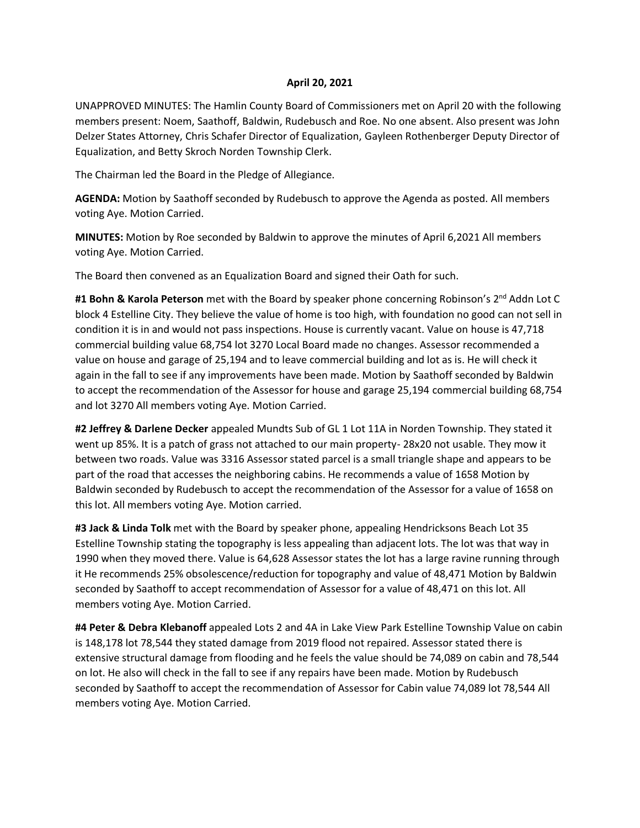## **April 20, 2021**

UNAPPROVED MINUTES: The Hamlin County Board of Commissioners met on April 20 with the following members present: Noem, Saathoff, Baldwin, Rudebusch and Roe. No one absent. Also present was John Delzer States Attorney, Chris Schafer Director of Equalization, Gayleen Rothenberger Deputy Director of Equalization, and Betty Skroch Norden Township Clerk.

The Chairman led the Board in the Pledge of Allegiance.

**AGENDA:** Motion by Saathoff seconded by Rudebusch to approve the Agenda as posted. All members voting Aye. Motion Carried.

**MINUTES:** Motion by Roe seconded by Baldwin to approve the minutes of April 6,2021 All members voting Aye. Motion Carried.

The Board then convened as an Equalization Board and signed their Oath for such.

**#1 Bohn & Karola Peterson** met with the Board by speaker phone concerning Robinson's 2 nd Addn Lot C block 4 Estelline City. They believe the value of home is too high, with foundation no good can not sell in condition it is in and would not pass inspections. House is currently vacant. Value on house is 47,718 commercial building value 68,754 lot 3270 Local Board made no changes. Assessor recommended a value on house and garage of 25,194 and to leave commercial building and lot as is. He will check it again in the fall to see if any improvements have been made. Motion by Saathoff seconded by Baldwin to accept the recommendation of the Assessor for house and garage 25,194 commercial building 68,754 and lot 3270 All members voting Aye. Motion Carried.

**#2 Jeffrey & Darlene Decker** appealed Mundts Sub of GL 1 Lot 11A in Norden Township. They stated it went up 85%. It is a patch of grass not attached to our main property- 28x20 not usable. They mow it between two roads. Value was 3316 Assessor stated parcel is a small triangle shape and appears to be part of the road that accesses the neighboring cabins. He recommends a value of 1658 Motion by Baldwin seconded by Rudebusch to accept the recommendation of the Assessor for a value of 1658 on this lot. All members voting Aye. Motion carried.

**#3 Jack & Linda Tolk** met with the Board by speaker phone, appealing Hendricksons Beach Lot 35 Estelline Township stating the topography is less appealing than adjacent lots. The lot was that way in 1990 when they moved there. Value is 64,628 Assessor states the lot has a large ravine running through it He recommends 25% obsolescence/reduction for topography and value of 48,471 Motion by Baldwin seconded by Saathoff to accept recommendation of Assessor for a value of 48,471 on this lot. All members voting Aye. Motion Carried.

**#4 Peter & Debra Klebanoff** appealed Lots 2 and 4A in Lake View Park Estelline Township Value on cabin is 148,178 lot 78,544 they stated damage from 2019 flood not repaired. Assessor stated there is extensive structural damage from flooding and he feels the value should be 74,089 on cabin and 78,544 on lot. He also will check in the fall to see if any repairs have been made. Motion by Rudebusch seconded by Saathoff to accept the recommendation of Assessor for Cabin value 74,089 lot 78,544 All members voting Aye. Motion Carried.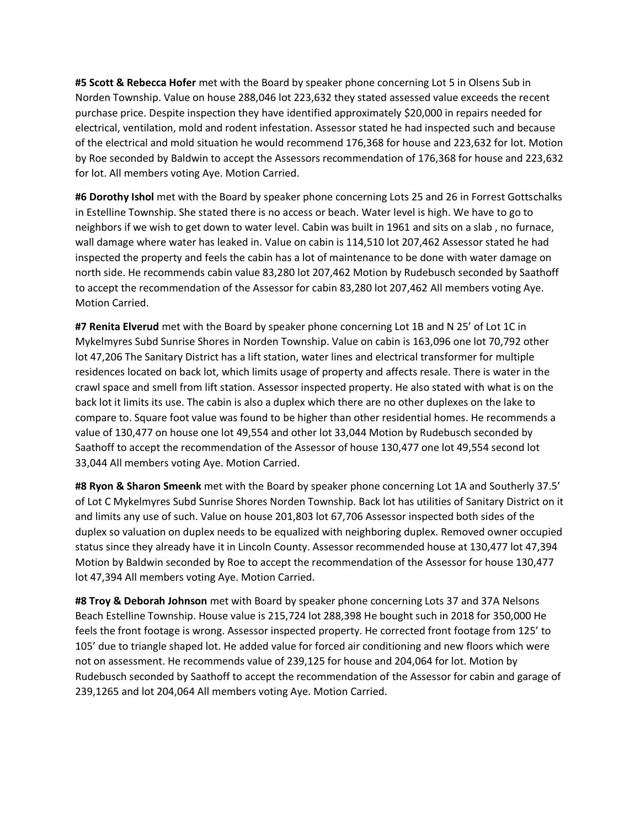**#5 Scott & Rebecca Hofer** met with the Board by speaker phone concerning Lot 5 in Olsens Sub in Norden Township. Value on house 288,046 lot 223,632 they stated assessed value exceeds the recent purchase price. Despite inspection they have identified approximately \$20,000 in repairs needed for electrical, ventilation, mold and rodent infestation. Assessor stated he had inspected such and because of the electrical and mold situation he would recommend 176,368 for house and 223,632 for lot. Motion by Roe seconded by Baldwin to accept the Assessors recommendation of 176,368 for house and 223,632 for lot. All members voting Aye. Motion Carried.

**#6 Dorothy Ishol** met with the Board by speaker phone concerning Lots 25 and 26 in Forrest Gottschalks in Estelline Township. She stated there is no access or beach. Water level is high. We have to go to neighbors if we wish to get down to water level. Cabin was built in 1961 and sits on a slab , no furnace, wall damage where water has leaked in. Value on cabin is 114,510 lot 207,462 Assessor stated he had inspected the property and feels the cabin has a lot of maintenance to be done with water damage on north side. He recommends cabin value 83,280 lot 207,462 Motion by Rudebusch seconded by Saathoff to accept the recommendation of the Assessor for cabin 83,280 lot 207,462 All members voting Aye. Motion Carried.

**#7 Renita Elverud** met with the Board by speaker phone concerning Lot 1B and N 25' of Lot 1C in Mykelmyres Subd Sunrise Shores in Norden Township. Value on cabin is 163,096 one lot 70,792 other lot 47,206 The Sanitary District has a lift station, water lines and electrical transformer for multiple residences located on back lot, which limits usage of property and affects resale. There is water in the crawl space and smell from lift station. Assessor inspected property. He also stated with what is on the back lot it limits its use. The cabin is also a duplex which there are no other duplexes on the lake to compare to. Square foot value was found to be higher than other residential homes. He recommends a value of 130,477 on house one lot 49,554 and other lot 33,044 Motion by Rudebusch seconded by Saathoff to accept the recommendation of the Assessor of house 130,477 one lot 49,554 second lot 33,044 All members voting Aye. Motion Carried.

**#8 Ryon & Sharon Smeenk** met with the Board by speaker phone concerning Lot 1A and Southerly 37.5' of Lot C Mykelmyres Subd Sunrise Shores Norden Township. Back lot has utilities of Sanitary District on it and limits any use of such. Value on house 201,803 lot 67,706 Assessor inspected both sides of the duplex so valuation on duplex needs to be equalized with neighboring duplex. Removed owner occupied status since they already have it in Lincoln County. Assessor recommended house at 130,477 lot 47,394 Motion by Baldwin seconded by Roe to accept the recommendation of the Assessor for house 130,477 lot 47,394 All members voting Aye. Motion Carried.

**#8 Troy & Deborah Johnson** met with Board by speaker phone concerning Lots 37 and 37A Nelsons Beach Estelline Township. House value is 215,724 lot 288,398 He bought such in 2018 for 350,000 He feels the front footage is wrong. Assessor inspected property. He corrected front footage from 125' to 105' due to triangle shaped lot. He added value for forced air conditioning and new floors which were not on assessment. He recommends value of 239,125 for house and 204,064 for lot. Motion by Rudebusch seconded by Saathoff to accept the recommendation of the Assessor for cabin and garage of 239,1265 and lot 204,064 All members voting Aye. Motion Carried.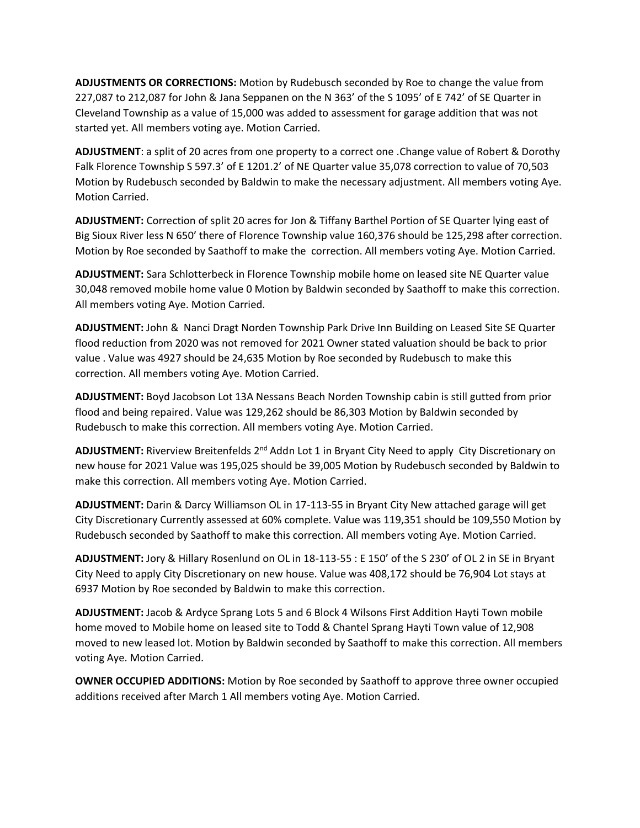**ADJUSTMENTS OR CORRECTIONS:** Motion by Rudebusch seconded by Roe to change the value from 227,087 to 212,087 for John & Jana Seppanen on the N 363' of the S 1095' of E 742' of SE Quarter in Cleveland Township as a value of 15,000 was added to assessment for garage addition that was not started yet. All members voting aye. Motion Carried.

**ADJUSTMENT**: a split of 20 acres from one property to a correct one .Change value of Robert & Dorothy Falk Florence Township S 597.3' of E 1201.2' of NE Quarter value 35,078 correction to value of 70,503 Motion by Rudebusch seconded by Baldwin to make the necessary adjustment. All members voting Aye. Motion Carried.

**ADJUSTMENT:** Correction of split 20 acres for Jon & Tiffany Barthel Portion of SE Quarter lying east of Big Sioux River less N 650' there of Florence Township value 160,376 should be 125,298 after correction. Motion by Roe seconded by Saathoff to make the correction. All members voting Aye. Motion Carried.

**ADJUSTMENT:** Sara Schlotterbeck in Florence Township mobile home on leased site NE Quarter value 30,048 removed mobile home value 0 Motion by Baldwin seconded by Saathoff to make this correction. All members voting Aye. Motion Carried.

**ADJUSTMENT:** John & Nanci Dragt Norden Township Park Drive Inn Building on Leased Site SE Quarter flood reduction from 2020 was not removed for 2021 Owner stated valuation should be back to prior value . Value was 4927 should be 24,635 Motion by Roe seconded by Rudebusch to make this correction. All members voting Aye. Motion Carried.

**ADJUSTMENT:** Boyd Jacobson Lot 13A Nessans Beach Norden Township cabin is still gutted from prior flood and being repaired. Value was 129,262 should be 86,303 Motion by Baldwin seconded by Rudebusch to make this correction. All members voting Aye. Motion Carried.

ADJUSTMENT: Riverview Breitenfelds 2<sup>nd</sup> Addn Lot 1 in Bryant City Need to apply City Discretionary on new house for 2021 Value was 195,025 should be 39,005 Motion by Rudebusch seconded by Baldwin to make this correction. All members voting Aye. Motion Carried.

**ADJUSTMENT:** Darin & Darcy Williamson OL in 17-113-55 in Bryant City New attached garage will get City Discretionary Currently assessed at 60% complete. Value was 119,351 should be 109,550 Motion by Rudebusch seconded by Saathoff to make this correction. All members voting Aye. Motion Carried.

**ADJUSTMENT:** Jory & Hillary Rosenlund on OL in 18-113-55 : E 150' of the S 230' of OL 2 in SE in Bryant City Need to apply City Discretionary on new house. Value was 408,172 should be 76,904 Lot stays at 6937 Motion by Roe seconded by Baldwin to make this correction.

**ADJUSTMENT:** Jacob & Ardyce Sprang Lots 5 and 6 Block 4 Wilsons First Addition Hayti Town mobile home moved to Mobile home on leased site to Todd & Chantel Sprang Hayti Town value of 12,908 moved to new leased lot. Motion by Baldwin seconded by Saathoff to make this correction. All members voting Aye. Motion Carried.

**OWNER OCCUPIED ADDITIONS:** Motion by Roe seconded by Saathoff to approve three owner occupied additions received after March 1 All members voting Aye. Motion Carried.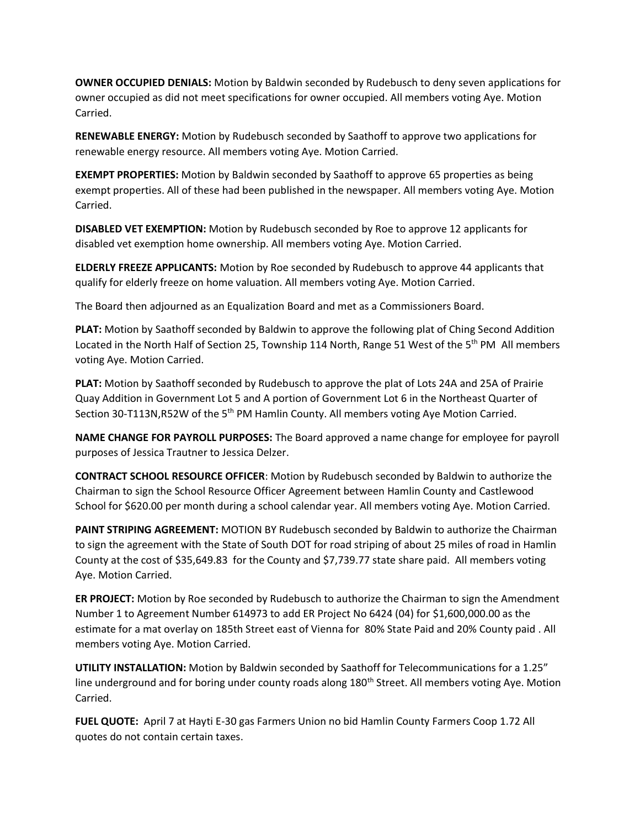**OWNER OCCUPIED DENIALS:** Motion by Baldwin seconded by Rudebusch to deny seven applications for owner occupied as did not meet specifications for owner occupied. All members voting Aye. Motion Carried.

**RENEWABLE ENERGY:** Motion by Rudebusch seconded by Saathoff to approve two applications for renewable energy resource. All members voting Aye. Motion Carried.

**EXEMPT PROPERTIES:** Motion by Baldwin seconded by Saathoff to approve 65 properties as being exempt properties. All of these had been published in the newspaper. All members voting Aye. Motion Carried.

**DISABLED VET EXEMPTION:** Motion by Rudebusch seconded by Roe to approve 12 applicants for disabled vet exemption home ownership. All members voting Aye. Motion Carried.

**ELDERLY FREEZE APPLICANTS:** Motion by Roe seconded by Rudebusch to approve 44 applicants that qualify for elderly freeze on home valuation. All members voting Aye. Motion Carried.

The Board then adjourned as an Equalization Board and met as a Commissioners Board.

**PLAT:** Motion by Saathoff seconded by Baldwin to approve the following plat of Ching Second Addition Located in the North Half of Section 25, Township 114 North, Range 51 West of the 5<sup>th</sup> PM All members voting Aye. Motion Carried.

**PLAT:** Motion by Saathoff seconded by Rudebusch to approve the plat of Lots 24A and 25A of Prairie Quay Addition in Government Lot 5 and A portion of Government Lot 6 in the Northeast Quarter of Section 30-T113N,R52W of the 5<sup>th</sup> PM Hamlin County. All members voting Aye Motion Carried.

**NAME CHANGE FOR PAYROLL PURPOSES:** The Board approved a name change for employee for payroll purposes of Jessica Trautner to Jessica Delzer.

**CONTRACT SCHOOL RESOURCE OFFICER**: Motion by Rudebusch seconded by Baldwin to authorize the Chairman to sign the School Resource Officer Agreement between Hamlin County and Castlewood School for \$620.00 per month during a school calendar year. All members voting Aye. Motion Carried.

**PAINT STRIPING AGREEMENT:** MOTION BY Rudebusch seconded by Baldwin to authorize the Chairman to sign the agreement with the State of South DOT for road striping of about 25 miles of road in Hamlin County at the cost of \$35,649.83 for the County and \$7,739.77 state share paid. All members voting Aye. Motion Carried.

**ER PROJECT:** Motion by Roe seconded by Rudebusch to authorize the Chairman to sign the Amendment Number 1 to Agreement Number 614973 to add ER Project No 6424 (04) for \$1,600,000.00 as the estimate for a mat overlay on 185th Street east of Vienna for 80% State Paid and 20% County paid . All members voting Aye. Motion Carried.

**UTILITY INSTALLATION:** Motion by Baldwin seconded by Saathoff for Telecommunications for a 1.25" line underground and for boring under county roads along 180<sup>th</sup> Street. All members voting Aye. Motion Carried.

**FUEL QUOTE:** April 7 at Hayti E-30 gas Farmers Union no bid Hamlin County Farmers Coop 1.72 All quotes do not contain certain taxes.